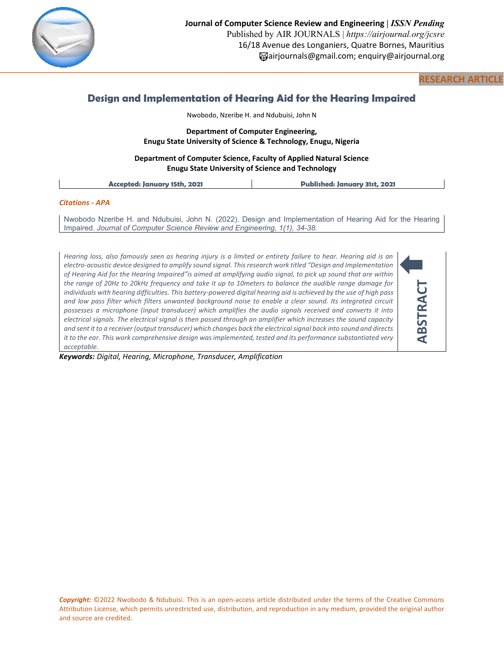

## **RESEARCH ARTICLE**

# **Design and Implementation of Hearing Aid for the Hearing Impaired**

Nwobodo, Nzeribe H. and Ndubuisi, John N

## **Department of Computer Engineering, Enugu State University of Science & Technology, Enugu, Nigeria**

## **Department of Computer Science, Faculty of Applied Natural Science Enugu State University of Science and Technology**

**Accepted: January 15th, 2021 Published: January 31st, 2021**

## *Citations - APA*

Nwobodo Nzeribe H. and Ndubuisi, John N. (2022). Design and Implementation of Hearing Aid for the Hearing Impaired. *Journal of Computer Science Review and Engineering, 1(1), 34-38.*

*Hearing loss, also famously seen as hearing injury is a limited or entirety failure to hear. Hearing aid is an electro-acoustic device designed to amplify sound signal. This research work titled "Design and Implementation of Hearing Aid for the Hearing Impaired"is aimed at amplifying audio signal, to pick up sound that are within the range of 20Hz to 20kHz frequency and take it up to 10meters to balance the audible range damage for individuals with hearing difficulties. This battery-powered digital hearing aid is achieved by the use of high pass and low pass filter which filters unwanted background noise to enable a clear sound. Its integrated circuit possesses a microphone (input transducer) which amplifies the audio signals received and converts it into electrical signals. The electrical signal is then passed through an amplifier which increases the sound capacity and sent it to a receiver (output transducer) which changes back the electrical signal back into sound and directs it to the ear. This work comprehensive design was implemented, tested and its performance substantiated very acceptable.*



*Keywords: Digital, Hearing, Microphone, Transducer, Amplification*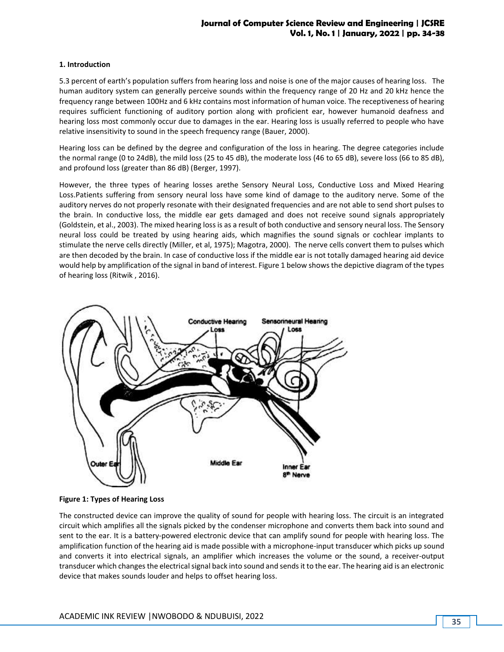## **Journal of Computer Science Review and Engineering | JCSRE Vol. 1, No. 1 | January, 2022 | pp. 34-38**

### **1. Introduction**

5.3 percent of earth's population suffers from hearing loss and noise is one of the major causes of hearing loss. The human auditory system can generally perceive sounds within the frequency range of 20 Hz and 20 kHz hence the frequency range between 100Hz and 6 kHz contains most information of human voice. The receptiveness of hearing requires sufficient functioning of auditory portion along with proficient ear, however humanoid deafness and hearing loss most commonly occur due to damages in the ear. Hearing loss is usually referred to people who have relative insensitivity to sound in the speech frequency range (Bauer, 2000).

Hearing loss can be defined by the degree and configuration of the loss in hearing. The degree categories include the normal range (0 to 24dB), the mild loss (25 to 45 dB), the moderate loss (46 to 65 dB), severe loss (66 to 85 dB), and profound loss (greater than 86 dB) (Berger, 1997).

However, the three types of hearing losses arethe Sensory Neural Loss, Conductive Loss and Mixed Hearing Loss.Patients suffering from sensory neural loss have some kind of damage to the auditory nerve. Some of the auditory nerves do not properly resonate with their designated frequencies and are not able to send short pulses to the brain. In conductive loss, the middle ear gets damaged and does not receive sound signals appropriately (Goldstein, et al., 2003). The mixed hearing loss is as a result of both conductive and sensory neural loss. The Sensory neural loss could be treated by using hearing aids, which magnifies the sound signals or cochlear implants to stimulate the nerve cells directly (Miller, et al, 1975); Magotra, 2000). The nerve cells convert them to pulses which are then decoded by the brain. In case of conductive loss if the middle ear is not totally damaged hearing aid device would help by amplification of the signal in band of interest. Figure 1 below shows the depictive diagram of the types of hearing loss (Ritwik , 2016).



**Figure 1: Types of Hearing Loss**

The constructed device can improve the quality of sound for people with hearing loss. The circuit is an integrated circuit which amplifies all the signals picked by the condenser microphone and converts them back into sound and sent to the ear. It is a battery-powered electronic device that can amplify sound for people with hearing loss. The amplification function of the hearing aid is made possible with a microphone-input transducer which picks up sound and converts it into electrical signals, an amplifier which increases the volume or the sound, a receiver-output transducer which changes the electrical signal back into sound and sends it to the ear. The hearing aid is an electronic device that makes sounds louder and helps to offset hearing loss.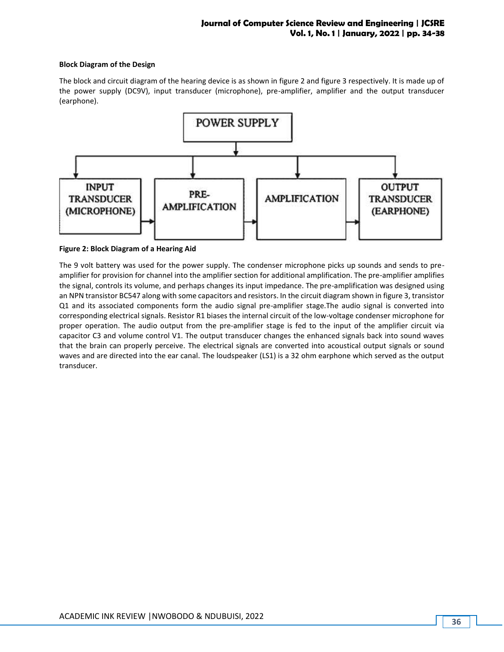## **Block Diagram of the Design**

The block and circuit diagram of the hearing device is as shown in figure 2 and figure 3 respectively. It is made up of the power supply (DC9V), input transducer (microphone), pre-amplifier, amplifier and the output transducer (earphone).



**Figure 2: Block Diagram of a Hearing Aid**

The 9 volt battery was used for the power supply. The condenser microphone picks up sounds and sends to preamplifier for provision for channel into the amplifier section for additional amplification. The pre-amplifier amplifies the signal, controls its volume, and perhaps changes its input impedance. The pre-amplification was designed using an NPN transistor BC547 along with some capacitors and resistors. In the circuit diagram shown in figure 3, transistor Q1 and its associated components form the audio signal pre-amplifier stage.The audio signal is converted into corresponding electrical signals. Resistor R1 biases the internal circuit of the low-voltage condenser microphone for proper operation. The audio output from the pre-amplifier stage is fed to the input of the amplifier circuit via capacitor C3 and volume control V1. The output transducer changes the enhanced signals back into sound waves that the brain can properly perceive. The electrical signals are converted into acoustical output signals or sound waves and are directed into the ear canal. The loudspeaker (LS1) is a 32 ohm earphone which served as the output transducer.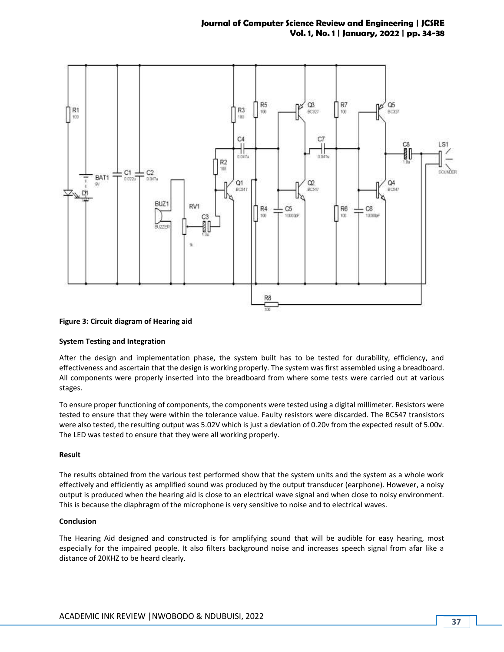

### **Figure 3: Circuit diagram of Hearing aid**

### **System Testing and Integration**

After the design and implementation phase, the system built has to be tested for durability, efficiency, and effectiveness and ascertain that the design is working properly. The system was first assembled using a breadboard. All components were properly inserted into the breadboard from where some tests were carried out at various stages.

To ensure proper functioning of components, the components were tested using a digital millimeter. Resistors were tested to ensure that they were within the tolerance value. Faulty resistors were discarded. The BC547 transistors were also tested, the resulting output was 5.02V which is just a deviation of 0.20v from the expected result of 5.00v. The LED was tested to ensure that they were all working properly.

#### **Result**

The results obtained from the various test performed show that the system units and the system as a whole work effectively and efficiently as amplified sound was produced by the output transducer (earphone). However, a noisy output is produced when the hearing aid is close to an electrical wave signal and when close to noisy environment. This is because the diaphragm of the microphone is very sensitive to noise and to electrical waves.

#### **Conclusion**

The Hearing Aid designed and constructed is for amplifying sound that will be audible for easy hearing, most especially for the impaired people. It also filters background noise and increases speech signal from afar like a distance of 20KHZ to be heard clearly.